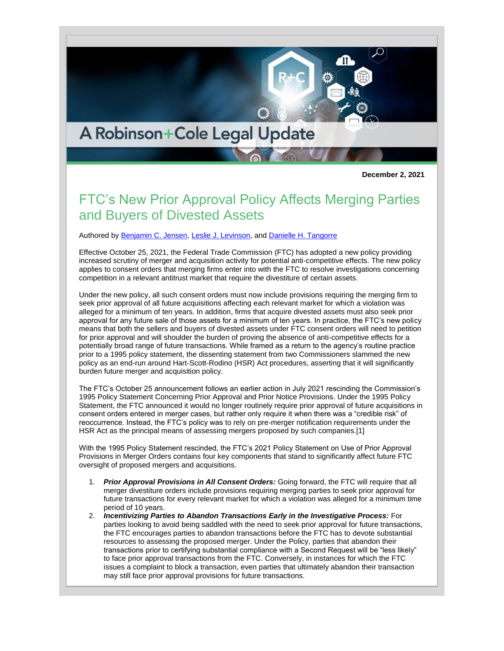## A Robinson+Cole Legal Update

**December 2, 2021**

## FTC's New Prior Approval Policy Affects Merging Parties and Buyers of Divested Assets

Authored by [Benjamin C. Jensen,](http://www.rc.com/people/BenjaminCJensen.cfm) [Leslie J. Levinson,](http://www.rc.com/people/LeslieJLevinson.cfm) an[d Danielle H. Tangorre](http://www.rc.com/people/DanielleHolleyTangorre.cfm)

Effective October 25, 2021, the Federal Trade Commission (FTC) has adopted a new policy providing increased scrutiny of merger and acquisition activity for potential anti-competitive effects. The new policy applies to consent orders that merging firms enter into with the FTC to resolve investigations concerning competition in a relevant antitrust market that require the divestiture of certain assets.

Under the new policy, all such consent orders must now include provisions requiring the merging firm to seek prior approval of all future acquisitions affecting each relevant market for which a violation was alleged for a minimum of ten years. In addition, firms that acquire divested assets must also seek prior approval for any future sale of those assets for a minimum of ten years. In practice, the FTC's new policy means that both the sellers and buyers of divested assets under FTC consent orders will need to petition for prior approval and will shoulder the burden of proving the absence of anti-competitive effects for a potentially broad range of future transactions. While framed as a return to the agency's routine practice prior to a 1995 policy statement, the dissenting statement from two Commissioners slammed the new policy as an end-run around Hart-Scott-Rodino (HSR) Act procedures, asserting that it will significantly burden future merger and acquisition policy.

The FTC's October 25 announcement follows an earlier action in July 2021 rescinding the Commission's 1995 Policy Statement Concerning Prior Approval and Prior Notice Provisions. Under the 1995 Policy Statement, the FTC announced it would no longer routinely require prior approval of future acquisitions in consent orders entered in merger cases, but rather only require it when there was a "credible risk" of reoccurrence. Instead, the FTC's policy was to rely on pre-merger notification requirements under the HSR Act as the principal means of assessing mergers proposed by such companies.[1]

With the 1995 Policy Statement rescinded, the FTC's 2021 Policy Statement on Use of Prior Approval Provisions in Merger Orders contains four key components that stand to significantly affect future FTC oversight of proposed mergers and acquisitions.

- 1. *Prior Approval Provisions in All Consent Orders:* Going forward, the FTC will require that all merger divestiture orders include provisions requiring merging parties to seek prior approval for future transactions for every relevant market for which a violation was alleged for a minimum time period of 10 years.
- 2. *Incentivizing Parties to Abandon Transactions Early in the Investigative Process:* For parties looking to avoid being saddled with the need to seek prior approval for future transactions, the FTC encourages parties to abandon transactions before the FTC has to devote substantial resources to assessing the proposed merger. Under the Policy, parties that abandon their transactions prior to certifying substantial compliance with a Second Request will be "less likely" to face prior approval transactions from the FTC. Conversely, in instances for which the FTC issues a complaint to block a transaction, even parties that ultimately abandon their transaction may still face prior approval provisions for future transactions.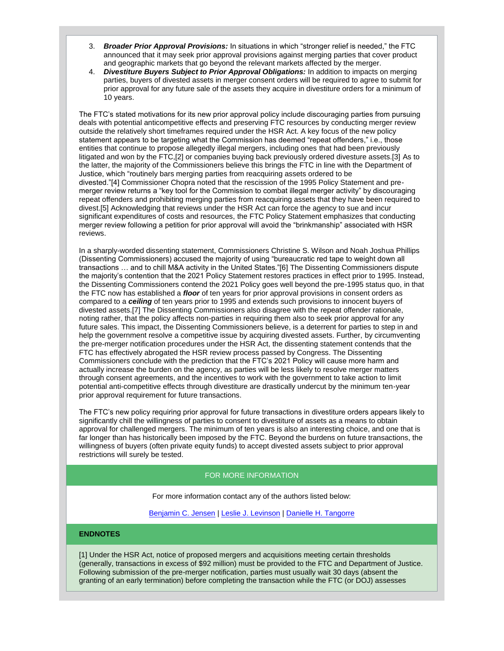- 3. *Broader Prior Approval Provisions:* In situations in which "stronger relief is needed," the FTC announced that it may seek prior approval provisions against merging parties that cover product and geographic markets that go beyond the relevant markets affected by the merger.
- 4. *Divestiture Buyers Subject to Prior Approval Obligations:* In addition to impacts on merging parties, buyers of divested assets in merger consent orders will be required to agree to submit for prior approval for any future sale of the assets they acquire in divestiture orders for a minimum of 10 years.

The FTC's stated motivations for its new prior approval policy include discouraging parties from pursuing deals with potential anticompetitive effects and preserving FTC resources by conducting merger review outside the relatively short timeframes required under the HSR Act. A key focus of the new policy statement appears to be targeting what the Commission has deemed "repeat offenders," i.e., those entities that continue to propose allegedly illegal mergers, including ones that had been previously litigated and won by the FTC,[2] or companies buying back previously ordered divesture assets.[3] As to the latter, the majority of the Commissioners believe this brings the FTC in line with the Department of Justice, which "routinely bars merging parties from reacquiring assets ordered to be divested."[4] Commissioner Chopra noted that the rescission of the 1995 Policy Statement and premerger review returns a "key tool for the Commission to combat illegal merger activity" by discouraging repeat offenders and prohibiting merging parties from reacquiring assets that they have been required to divest.[5] Acknowledging that reviews under the HSR Act can force the agency to sue and incur significant expenditures of costs and resources, the FTC Policy Statement emphasizes that conducting merger review following a petition for prior approval will avoid the "brinkmanship" associated with HSR reviews.

In a sharply-worded dissenting statement, Commissioners Christine S. Wilson and Noah Joshua Phillips (Dissenting Commissioners) accused the majority of using "bureaucratic red tape to weight down all transactions … and to chill M&A activity in the United States."[6] The Dissenting Commissioners dispute the majority's contention that the 2021 Policy Statement restores practices in effect prior to 1995. Instead, the Dissenting Commissioners contend the 2021 Policy goes well beyond the pre-1995 status quo, in that the FTC now has established a *floor* of ten years for prior approval provisions in consent orders as compared to a *ceiling* of ten years prior to 1995 and extends such provisions to innocent buyers of divested assets.[7] The Dissenting Commissioners also disagree with the repeat offender rationale, noting rather, that the policy affects non-parties in requiring them also to seek prior approval for any future sales. This impact, the Dissenting Commissioners believe, is a deterrent for parties to step in and help the government resolve a competitive issue by acquiring divested assets. Further, by circumventing the pre-merger notification procedures under the HSR Act, the dissenting statement contends that the FTC has effectively abrogated the HSR review process passed by Congress. The Dissenting Commissioners conclude with the prediction that the FTC's 2021 Policy will cause more harm and actually increase the burden on the agency, as parties will be less likely to resolve merger matters through consent agreements, and the incentives to work with the government to take action to limit potential anti-competitive effects through divestiture are drastically undercut by the minimum ten-year prior approval requirement for future transactions.

The FTC's new policy requiring prior approval for future transactions in divestiture orders appears likely to significantly chill the willingness of parties to consent to divestiture of assets as a means to obtain approval for challenged mergers. The minimum of ten years is also an interesting choice, and one that is far longer than has historically been imposed by the FTC. Beyond the burdens on future transactions, the willingness of buyers (often private equity funds) to accept divested assets subject to prior approval restrictions will surely be tested.

## FOR MORE INFORMATION

For more information contact any of the authors listed below:

[Benjamin C. Jensen](http://www.rc.com/people/BenjaminCJensen.cfm) | [Leslie J. Levinson](http://www.rc.com/people/LeslieJLevinson.cfm) | [Danielle H. Tangorre](http://www.rc.com/people/DanielleHolleyTangorre.cfm)

## **ENDNOTES**

[1] Under the HSR Act, notice of proposed mergers and acquisitions meeting certain thresholds (generally, transactions in excess of \$92 million) must be provided to the FTC and Department of Justice. Following submission of the pre-merger notification, parties must usually wait 30 days (absent the granting of an early termination) before completing the transaction while the FTC (or DOJ) assesses